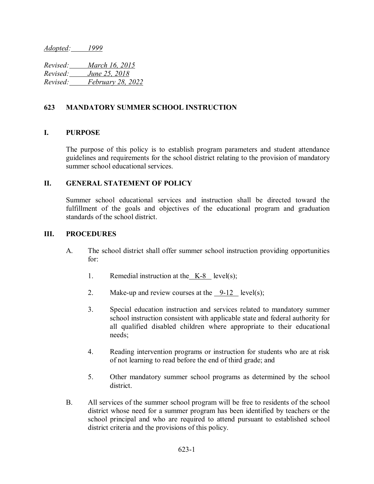*Adopted: 1999*

*Revised: March 16, 2015 Revised: June 25, 2018 Revised: February 28, 2022*

## **623 MANDATORY SUMMER SCHOOL INSTRUCTION**

### **I. PURPOSE**

The purpose of this policy is to establish program parameters and student attendance guidelines and requirements for the school district relating to the provision of mandatory summer school educational services.

#### **II. GENERAL STATEMENT OF POLICY**

Summer school educational services and instruction shall be directed toward the fulfillment of the goals and objectives of the educational program and graduation standards of the school district.

#### **III. PROCEDURES**

- A. The school district shall offer summer school instruction providing opportunities for:
	- 1. Remedial instruction at the K-8 level(s);
	- 2. Make-up and review courses at the  $9-12$  level(s);
	- 3. Special education instruction and services related to mandatory summer school instruction consistent with applicable state and federal authority for all qualified disabled children where appropriate to their educational needs;
	- 4. Reading intervention programs or instruction for students who are at risk of not learning to read before the end of third grade; and
	- 5. Other mandatory summer school programs as determined by the school district.
- B. All services of the summer school program will be free to residents of the school district whose need for a summer program has been identified by teachers or the school principal and who are required to attend pursuant to established school district criteria and the provisions of this policy.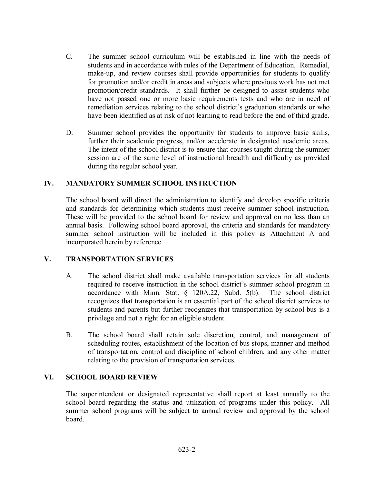- C. The summer school curriculum will be established in line with the needs of students and in accordance with rules of the Department of Education. Remedial, make-up, and review courses shall provide opportunities for students to qualify for promotion and/or credit in areas and subjects where previous work has not met promotion/credit standards. It shall further be designed to assist students who have not passed one or more basic requirements tests and who are in need of remediation services relating to the school district's graduation standards or who have been identified as at risk of not learning to read before the end of third grade.
- D. Summer school provides the opportunity for students to improve basic skills, further their academic progress, and/or accelerate in designated academic areas. The intent of the school district is to ensure that courses taught during the summer session are of the same level of instructional breadth and difficulty as provided during the regular school year.

# **IV. MANDATORY SUMMER SCHOOL INSTRUCTION**

The school board will direct the administration to identify and develop specific criteria and standards for determining which students must receive summer school instruction. These will be provided to the school board for review and approval on no less than an annual basis. Following school board approval, the criteria and standards for mandatory summer school instruction will be included in this policy as Attachment A and incorporated herein by reference.

# **V. TRANSPORTATION SERVICES**

- A. The school district shall make available transportation services for all students required to receive instruction in the school district's summer school program in accordance with Minn. Stat. § 120A.22, Subd. 5(b). The school district recognizes that transportation is an essential part of the school district services to students and parents but further recognizes that transportation by school bus is a privilege and not a right for an eligible student.
- B. The school board shall retain sole discretion, control, and management of scheduling routes, establishment of the location of bus stops, manner and method of transportation, control and discipline of school children, and any other matter relating to the provision of transportation services.

### **VI. SCHOOL BOARD REVIEW**

The superintendent or designated representative shall report at least annually to the school board regarding the status and utilization of programs under this policy. All summer school programs will be subject to annual review and approval by the school board.